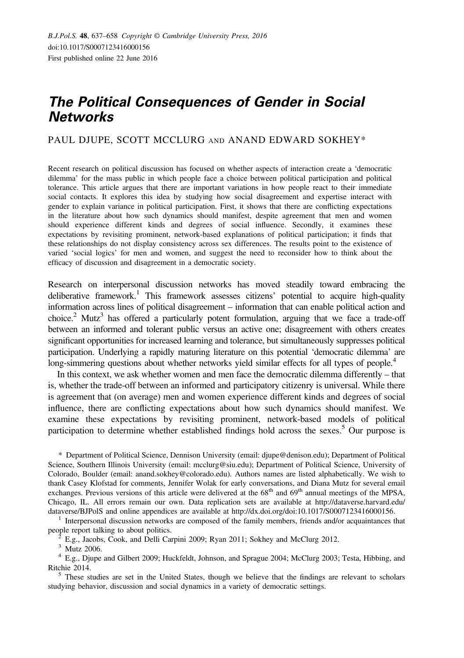# The Political Consequences of Gender in Social **Networks**

# PAUL DJUPE, SCOTT MCCLURG AND ANAND EDWARD SOKHEY\*

Recent research on political discussion has focused on whether aspects of interaction create a 'democratic dilemma' for the mass public in which people face a choice between political participation and political tolerance. This article argues that there are important variations in how people react to their immediate social contacts. It explores this idea by studying how social disagreement and expertise interact with gender to explain variance in political participation. First, it shows that there are conflicting expectations in the literature about how such dynamics should manifest, despite agreement that men and women should experience different kinds and degrees of social influence. Secondly, it examines these expectations by revisiting prominent, network-based explanations of political participation; it finds that these relationships do not display consistency across sex differences. The results point to the existence of varied 'social logics' for men and women, and suggest the need to reconsider how to think about the efficacy of discussion and disagreement in a democratic society.

Research on interpersonal discussion networks has moved steadily toward embracing the deliberative framework.<sup>1</sup> This framework assesses citizens' potential to acquire high-quality information across lines of political disagreement – information that can enable political action and choice.<sup>2</sup> Mutz<sup>3</sup> has offered a particularly potent formulation, arguing that we face a trade-off between an informed and tolerant public versus an active one; disagreement with others creates significant opportunities for increased learning and tolerance, but simultaneously suppresses political participation. Underlying a rapidly maturing literature on this potential 'democratic dilemma' are long-simmering questions about whether networks yield similar effects for all types of people.<sup>4</sup>

In this context, we ask whether women and men face the democratic dilemma differently – that is, whether the trade-off between an informed and participatory citizenry is universal. While there is agreement that (on average) men and women experience different kinds and degrees of social influence, there are conflicting expectations about how such dynamics should manifest. We examine these expectations by revisiting prominent, network-based models of political participation to determine whether established findings hold across the sexes.<sup>5</sup> Our purpose is

\* Department of Political Science, Dennison University (email: [djupe@denison.edu](mailto:djupe@denison.edu)); Department of Political Science, Southern Illinois University (email: [mcclurg@siu.edu\)](mailto:mcclurg@siu.edu); Department of Political Science, University of Colorado, Boulder (email: [anand.sokhey@colorado.edu\)](mailto:anand.sokhey@colorado.edu). Authors names are listed alphabetically. We wish to thank Casey Klofstad for comments, Jennifer Wolak for early conversations, and Diana Mutz for several email exchanges. Previous versions of this article were delivered at the 68<sup>th</sup> and 69<sup>th</sup> annual meetings of the MPSA, Chicago, IL. All errors remain our own. Data replication sets are available at http://dataverse.harvard.edu/<br>dataverse/BJPolS and online appendices are available at http://dx.doi.org/doi:10.1017/S0007123416000156.

 $\frac{1}{1}$  Interpersonal discussion networks are composed of the family members, friends and/or acquaintances that

people report talking to about politics.<br>
<sup>2</sup> E.g., Jacobs, Cook, and Delli Carpini [2009;](#page-18-0) Ryan [2011](#page-20-0); Sokhey and McClurg [2012.](#page-20-0)<br>
<sup>3</sup> Mutz [2006.](#page-20-0)<br>
<sup>4</sup> E.g., Djupe and Gilbert 2009; Huckfeldt, Johnson, and Sprague [2004;](#page-19-0) McClurg

 $<sup>5</sup>$  These studies are set in the United States, though we believe that the findings are relevant to scholars</sup> studying behavior, discussion and social dynamics in a variety of democratic settings.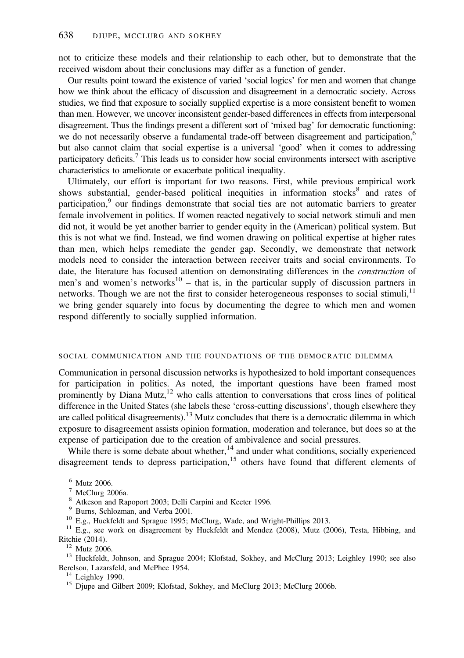not to criticize these models and their relationship to each other, but to demonstrate that the received wisdom about their conclusions may differ as a function of gender.

Our results point toward the existence of varied 'social logics' for men and women that change how we think about the efficacy of discussion and disagreement in a democratic society. Across studies, we find that exposure to socially supplied expertise is a more consistent benefit to women than men. However, we uncover inconsistent gender-based differences in effects from interpersonal disagreement. Thus the findings present a different sort of 'mixed bag' for democratic functioning: we do not necessarily observe a fundamental trade-off between disagreement and participation,<sup>6</sup> but also cannot claim that social expertise is a universal 'good' when it comes to addressing participatory deficits.<sup>7</sup> This leads us to consider how social environments intersect with ascriptive characteristics to ameliorate or exacerbate political inequality.

Ultimately, our effort is important for two reasons. First, while previous empirical work shows substantial, gender-based political inequities in information stocks<sup>8</sup> and rates of participation, $9$  our findings demonstrate that social ties are not automatic barriers to greater female involvement in politics. If women reacted negatively to social network stimuli and men did not, it would be yet another barrier to gender equity in the (American) political system. But this is not what we find. Instead, we find women drawing on political expertise at higher rates than men, which helps remediate the gender gap. Secondly, we demonstrate that network models need to consider the interaction between receiver traits and social environments. To date, the literature has focused attention on demonstrating differences in the *construction* of men's and women's networks<sup>10</sup> – that is, in the particular supply of discussion partners in networks. Though we are not the first to consider heterogeneous responses to social stimuli,<sup>11</sup> we bring gender squarely into focus by documenting the degree to which men and women respond differently to socially supplied information.

#### SOCIAL COMMUNICATION AND THE FOUNDATIONS OF THE DEMOCRATIC DILEMMA

Communication in personal discussion networks is hypothesized to hold important consequences for participation in politics. As noted, the important questions have been framed most prominently by Diana Mutz,<sup>12</sup> who calls attention to conversations that cross lines of political difference in the United States (she labels these 'cross-cutting discussions', though elsewhere they are called political disagreements).<sup>13</sup> Mutz concludes that there is a democratic dilemma in which exposure to disagreement assists opinion formation, moderation and tolerance, but does so at the expense of participation due to the creation of ambivalence and social pressures.

While there is some debate about whether,  $14$  and under what conditions, socially experienced disagreement tends to depress participation,<sup>15</sup> others have found that different elements of

- 
- 
- 
- 

<sup>6</sup> Mutz [2006.](#page-20-0)<br>
<sup>7</sup> McClurg [2006a](#page-20-0).<br>
<sup>8</sup> Atkeson and Rapoport [2003](#page-18-0); Delli Carpini and Keeter [1996](#page-18-0).<br>
<sup>9</sup> Burns, Schlozman, and Verba [2001.](#page-18-0)<br>
<sup>10</sup> E.g., Huckfeldt and Sprague [1995;](#page-19-0) McClurg, Wade, and Wright-Phillips 2013.<br>
<sup>1</sup>

<sup>13</sup> Huckfeldt, Johnson, and Sprague [2004](#page-19-0); Klofstad, Sokhey, and McClurg [2013](#page-19-0); Leighley [1990;](#page-19-0) see also Berelson, Lazarsfeld, and McPhee [1954.](#page-18-0)<br><sup>14</sup> Leighley [1990](#page-19-0).<br><sup>15</sup> Djupe and Gilbert [2009](#page-18-0); Klofstad, Sokhey, and McClurg [2013;](#page-19-0) McClurg [2006b.](#page-20-0)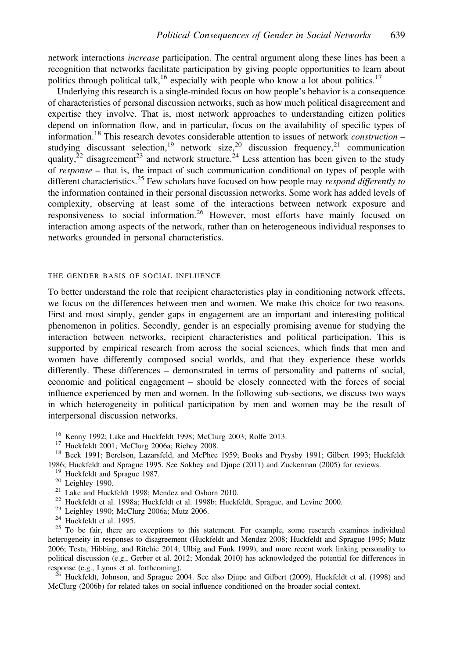network interactions increase participation. The central argument along these lines has been a recognition that networks facilitate participation by giving people opportunities to learn about politics through political talk,  $16$  especially with people who know a lot about politics.<sup>17</sup>

Underlying this research is a single-minded focus on how people's behavior is a consequence of characteristics of personal discussion networks, such as how much political disagreement and expertise they involve. That is, most network approaches to understanding citizen politics depend on information flow, and in particular, focus on the availability of specific types of information.<sup>18</sup> This research devotes considerable attention to issues of network construction – studying discussant selection,<sup>19</sup> network size,<sup>20</sup> discussion frequency,<sup>21</sup> communication quality,<sup>22</sup> disagreement<sup>23</sup> and network structure.<sup>24</sup> Less attention has been given to the study of response – that is, the impact of such communication conditional on types of people with different characteristics.<sup>25</sup> Few scholars have focused on how people may *respond differently to* the information contained in their personal discussion networks. Some work has added levels of complexity, observing at least some of the interactions between network exposure and responsiveness to social information.<sup>26</sup> However, most efforts have mainly focused on interaction among aspects of the network, rather than on heterogeneous individual responses to networks grounded in personal characteristics.

### THE GENDER BASIS OF SOCIAL INFLUENCE

To better understand the role that recipient characteristics play in conditioning network effects, we focus on the differences between men and women. We make this choice for two reasons. First and most simply, gender gaps in engagement are an important and interesting political phenomenon in politics. Secondly, gender is an especially promising avenue for studying the interaction between networks, recipient characteristics and political participation. This is supported by empirical research from across the social sciences, which finds that men and women have differently composed social worlds, and that they experience these worlds differently. These differences – demonstrated in terms of personality and patterns of social, economic and political engagement – should be closely connected with the forces of social influence experienced by men and women. In the following sub-sections, we discuss two ways in which heterogeneity in political participation by men and women may be the result of interpersonal discussion networks.

<sup>16</sup> Kenny [1992](#page-19-0); Lake and Huckfeldt [1998](#page-19-0); McClurg [2003;](#page-20-0) Rolfe [2013](#page-20-0).<br><sup>17</sup> Huckfeldt [2001](#page-19-0); McClurg [2006a](#page-20-0); Richey [2008](#page-20-0).<br><sup>18</sup> Beck [1991;](#page-18-0) Berelson, Lazarsfeld, and McPhee 1959; Books and Prysby 1991; Gilbert [1993;](#page-18-0) Huckfeldt<br>19

- 
- 
- 
- 

<sup>19</sup> Huckfeldt and Sprague [1987.](#page-19-0)<br>
<sup>20</sup> Leighley [1990.](#page-19-0)<br>
<sup>21</sup> Lake and Huckfeldt [1998](#page-19-0); Mendez and Osborn [2010.](#page-20-0)<br>
<sup>22</sup> Huckfeldt et al. [1998a;](#page-19-0) Huckfeldt et al. [1998b](#page-19-0); Huckfeldt, Sprague, and Levine [2000](#page-19-0).<br>
<sup>23</sup> Leighley [1990;](#page-19-0) heterogeneity in responses to disagreement (Huckfeldt and Mendez [2008](#page-19-0); Huckfeldt and Sprague [1995;](#page-19-0) Mutz [2006;](#page-20-0) Testa, Hibbing, and Ritchie [2014](#page-21-0); Ulbig and Funk [1999\)](#page-21-0), and more recent work linking personality to political discussion (e.g., Gerber et al. [2012](#page-18-0); Mondak [2010](#page-20-0)) has acknowledged the potential for differences in response (e.g., Lyons et al. [forthcoming](#page-20-0)).<br><sup>26</sup> Huckfeldt, Johnson, and Sprague [2004](#page-19-0). See also Djupe and Gilbert ([2009\)](#page-18-0), Huckfeldt et al. (1998) and

McClurg ([2006b](#page-20-0)) for related takes on social influence conditioned on the broader social context.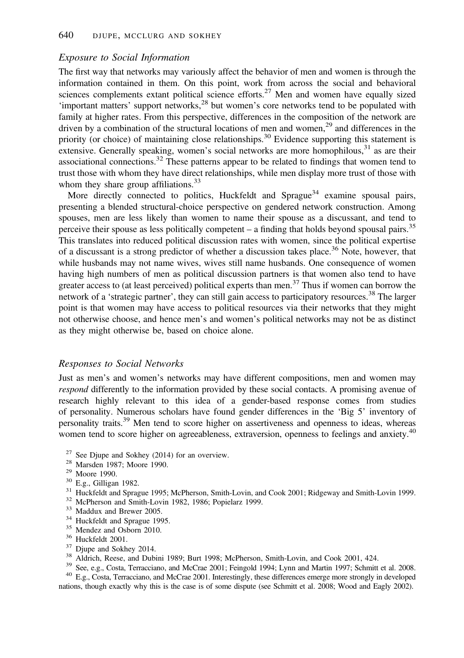# Exposure to Social Information

The first way that networks may variously affect the behavior of men and women is through the information contained in them. On this point, work from across the social and behavioral sciences complements extant political science efforts.<sup>27</sup> Men and women have equally sized 'important matters' support networks,<sup>28</sup> but women's core networks tend to be populated with family at higher rates. From this perspective, differences in the composition of the network are driven by a combination of the structural locations of men and women,<sup>29</sup> and differences in the priority (or choice) of maintaining close relationships.<sup>30</sup> Evidence supporting this statement is extensive. Generally speaking, women's social networks are more homophilous, $31$  as are their associational connections.<sup>32</sup> These patterns appear to be related to findings that women tend to trust those with whom they have direct relationships, while men display more trust of those with whom they share group affiliations. $33$ 

More directly connected to politics, Huckfeldt and Sprague<sup>34</sup> examine spousal pairs, presenting a blended structural-choice perspective on gendered network construction. Among spouses, men are less likely than women to name their spouse as a discussant, and tend to perceive their spouse as less politically competent – a finding that holds beyond spousal pairs.<sup>35</sup> This translates into reduced political discussion rates with women, since the political expertise of a discussant is a strong predictor of whether a discussion takes place.<sup>36</sup> Note, however, that while husbands may not name wives, wives still name husbands. One consequence of women having high numbers of men as political discussion partners is that women also tend to have greater access to (at least perceived) political experts than men.<sup>37</sup> Thus if women can borrow the network of a 'strategic partner', they can still gain access to participatory resources.<sup>38</sup> The larger point is that women may have access to political resources via their networks that they might not otherwise choose, and hence men's and women's political networks may not be as distinct as they might otherwise be, based on choice alone.

# Responses to Social Networks

Just as men's and women's networks may have different compositions, men and women may respond differently to the information provided by these social contacts. A promising avenue of research highly relevant to this idea of a gender-based response comes from studies of personality. Numerous scholars have found gender differences in the 'Big 5' inventory of personality traits.<sup>39</sup> Men tend to score higher on assertiveness and openness to ideas, whereas women tend to score higher on agreeableness, extraversion, openness to feelings and anxiety.<sup>40</sup>

- 
- 
- 
- 
- 
- 
- 
- 
- 
- 
- 
- 
- <sup>27</sup> See Djupe and Sokhey ([2014\)](#page-18-0) for an overview.<br>
<sup>28</sup> Marsden [1987;](#page-20-0) Moore [1990.](#page-20-0)<br>
<sup>28</sup> Moore 1990.<br>
<sup>30</sup> Moore 1990.<br>
<sup>30</sup> E.g., Gilligan [1982](#page-20-0).<br>
<sup>31</sup> Huckfeldt and Sprague [1995](#page-19-0); McPherson, Smith-Lovin, and Cook [2001](#page-18-0); Rid

nations, though exactly why this is the case is of some dispute (see Schmitt et al. [2008](#page-20-0); Wood and Eagly [2002](#page-21-0)).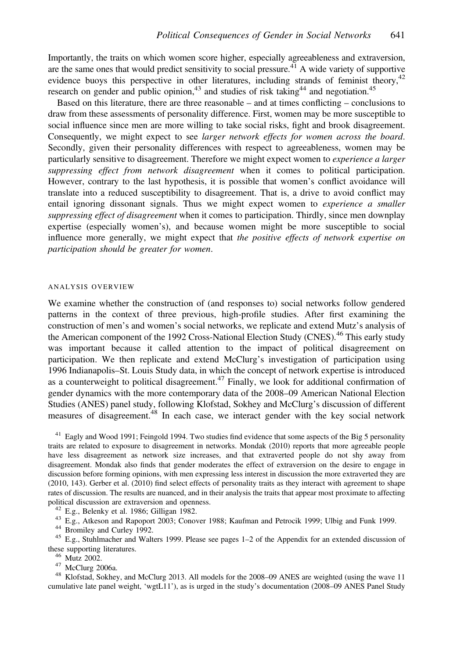Importantly, the traits on which women score higher, especially agreeableness and extraversion, are the same ones that would predict sensitivity to social pressure.<sup>41</sup> A wide variety of supportive evidence buoys this perspective in other literatures, including strands of feminist theory,  $42$ research on gender and public opinion,  $43$  and studies of risk taking  $44$  and negotiation.  $45$ 

Based on this literature, there are three reasonable – and at times conflicting – conclusions to draw from these assessments of personality difference. First, women may be more susceptible to social influence since men are more willing to take social risks, fight and brook disagreement. Consequently, we might expect to see larger network effects for women across the board. Secondly, given their personality differences with respect to agreeableness, women may be particularly sensitive to disagreement. Therefore we might expect women to *experience a larger* suppressing effect from network disagreement when it comes to political participation. However, contrary to the last hypothesis, it is possible that women's conflict avoidance will translate into a reduced susceptibility to disagreement. That is, a drive to avoid conflict may entail ignoring dissonant signals. Thus we might expect women to *experience a smaller* suppressing effect of disagreement when it comes to participation. Thirdly, since men downplay expertise (especially women's), and because women might be more susceptible to social influence more generally, we might expect that the positive effects of network expertise on participation should be greater for women.

#### ANALYSIS OVERVIEW

We examine whether the construction of (and responses to) social networks follow gendered patterns in the context of three previous, high-profile studies. After first examining the construction of men's and women's social networks, we replicate and extend Mutz's analysis of the American component of the 1992 Cross-National Election Study (CNES).<sup>46</sup> This early study was important because it called attention to the impact of political disagreement on participation. We then replicate and extend McClurg's investigation of participation using 1996 Indianapolis–St. Louis Study data, in which the concept of network expertise is introduced as a counterweight to political disagreement.<sup>47</sup> Finally, we look for additional confirmation of gender dynamics with the more contemporary data of the 2008–09 American National Election Studies (ANES) panel study, following Klofstad, Sokhey and McClurg's discussion of different measures of disagreement.<sup>48</sup> In each case, we interact gender with the key social network

<sup>41</sup> Eagly and Wood 1991; Feingold [1994.](#page-18-0) Two studies find evidence that some aspects of the Big 5 personality traits are related to exposure to disagreement in networks. Mondak ([2010\)](#page-20-0) reports that more agreeable people have less disagreement as network size increases, and that extraverted people do not shy away from disagreement. Mondak also finds that gender moderates the effect of extraversion on the desire to engage in discussion before forming opinions, with men expressing less interest in discussion the more extraverted they are (2010, 143). Gerber et al. ([2010\)](#page-18-0) find select effects of personality traits as they interact with agreement to shape rates of discussion. The results are nuanced, and in their analysis the traits that appear most proximate to affecting

political discussion are extraversion and openness.<br><sup>42</sup> E.g., Belenky et al. [1986](#page-18-0); Gilligan [1982.](#page-18-0)<br><sup>43</sup> E.g., Atkeson and Rapoport [2003;](#page-18-0) Conover [1988;](#page-18-0) Kaufman and Petrocik [1999](#page-19-0); Ulbig and Funk [1999.](#page-20-0)<br><sup>44</sup> Bromiley and Curle

<sup>46</sup> Mutz [2002.](#page-20-0)<br><sup>47</sup> McClurg [2006a.](#page-20-0)<br><sup>48</sup> Klofstad, Sokhey, and McClurg [2013](#page-19-0). All models for the 2008–09 ANES are weighted (using the wave 11 cumulative late panel weight, 'wgtL11'), as is urged in the study's documentation (2008–09 ANES Panel Study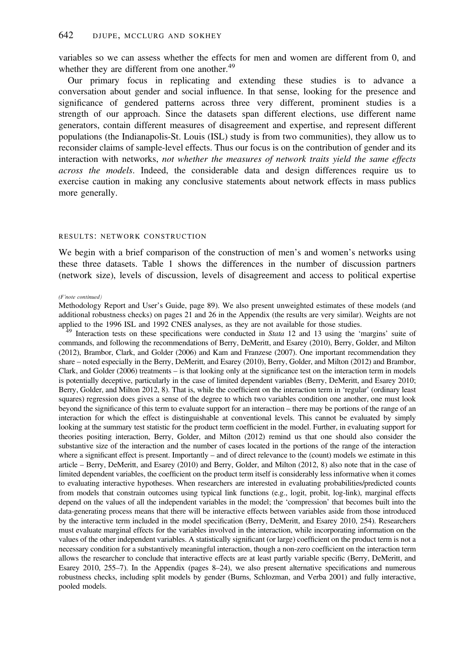variables so we can assess whether the effects for men and women are different from 0, and whether they are different from one another.<sup>49</sup>

Our primary focus in replicating and extending these studies is to advance a conversation about gender and social influence. In that sense, looking for the presence and significance of gendered patterns across three very different, prominent studies is a strength of our approach. Since the datasets span different elections, use different name generators, contain different measures of disagreement and expertise, and represent different populations (the Indianapolis-St. Louis (ISL) study is from two communities), they allow us to reconsider claims of sample-level effects. Thus our focus is on the contribution of gender and its interaction with networks, not whether the measures of network traits yield the same effects across the models. Indeed, the considerable data and design differences require us to exercise caution in making any conclusive statements about network effects in mass publics more generally.

#### RESULTS: NETWORK CONSTRUCTION

We begin with a brief comparison of the construction of men's and women's networks using these three datasets. Table 1 shows the differences in the number of discussion partners (network size), levels of discussion, levels of disagreement and access to political expertise

#### (F'note continued)

Methodology Report and User's Guide, page 89). We also present unweighted estimates of these models (and additional robustness checks) on pages 21 and 26 in the Appendix (the results are very similar). Weights are not applied to the 1996 ISL and 1992 CNES analyses, as they are not available for those studies.<br><sup>49</sup> Interaction tests on these specifications were conducted in *Stata* 12 and 13 using the 'margins' suite of

commands, and following the recommendations of Berry, DeMeritt, and Esarey ([2010](#page-18-0)), Berry, Golder, and Milton [\(2012\)](#page-18-0), Brambor, Clark, and Golder [\(2006](#page-18-0)) and Kam and Franzese ([2007](#page-19-0)). One important recommendation they share – noted especially in the Berry, DeMeritt, and Esarey [\(2010\)](#page-18-0), Berry, Golder, and Milton ([2012](#page-18-0)) and Brambor, Clark, and Golder ([2006](#page-18-0)) treatments – is that looking only at the significance test on the interaction term in models is potentially deceptive, particularly in the case of limited dependent variables (Berry, DeMeritt, and Esarey [2010;](#page-18-0) Berry, Golder, and Milton [2012,](#page-18-0) 8). That is, while the coefficient on the interaction term in 'regular' (ordinary least squares) regression does gives a sense of the degree to which two variables condition one another, one must look beyond the significance of this term to evaluate support for an interaction – there may be portions of the range of an interaction for which the effect is distinguishable at conventional levels. This cannot be evaluated by simply looking at the summary test statistic for the product term coefficient in the model. Further, in evaluating support for theories positing interaction, Berry, Golder, and Milton ([2012](#page-18-0)) remind us that one should also consider the substantive size of the interaction and the number of cases located in the portions of the range of the interaction where a significant effect is present. Importantly – and of direct relevance to the (count) models we estimate in this article – Berry, DeMeritt, and Esarey [\(2010\)](#page-18-0) and Berry, Golder, and Milton ([2012](#page-18-0), 8) also note that in the case of limited dependent variables, the coefficient on the product term itself is considerably less informative when it comes to evaluating interactive hypotheses. When researchers are interested in evaluating probabilities/predicted counts from models that constrain outcomes using typical link functions (e.g., logit, probit, log-link), marginal effects depend on the values of all the independent variables in the model; the 'compression' that becomes built into the data-generating process means that there will be interactive effects between variables aside from those introduced by the interactive term included in the model specification (Berry, DeMeritt, and Esarey [2010](#page-18-0), 254). Researchers must evaluate marginal effects for the variables involved in the interaction, while incorporating information on the values of the other independent variables. A statistically significant (or large) coefficient on the product term is not a necessary condition for a substantively meaningful interaction, though a non-zero coefficient on the interaction term allows the researcher to conclude that interactive effects are at least partly variable specific (Berry, DeMeritt, and Esarey [2010,](#page-18-0) 255–7). In the Appendix (pages 8–24), we also present alternative specifications and numerous robustness checks, including split models by gender (Burns, Schlozman, and Verba [2001\)](#page-18-0) and fully interactive, pooled models.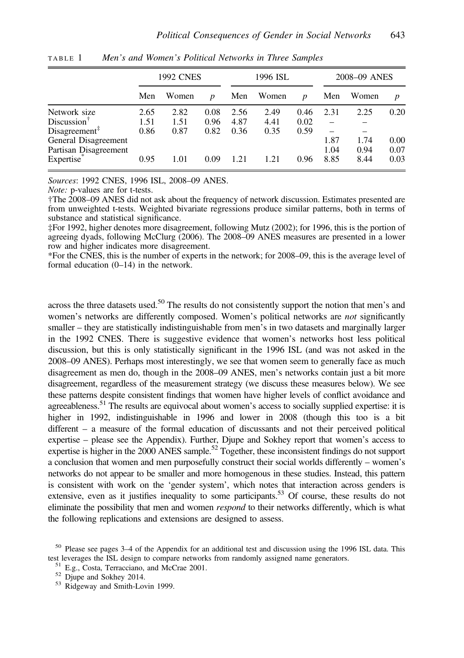|                                          | <b>1992 CNES</b> |       |                  | 1996 ISL |       |                  | 2008-09 ANES |       |      |
|------------------------------------------|------------------|-------|------------------|----------|-------|------------------|--------------|-------|------|
|                                          | Men              | Women | $\boldsymbol{D}$ | Men      | Women | $\boldsymbol{D}$ | Men          | Women | p    |
| Network size                             | 2.65             | 2.82  | 0.08             | 2.56     | 2.49  | 0.46             | 2.31         | 2.25  | 0.20 |
| Discussion <sup>†</sup>                  | 1.51             | 1.51  | 0.96             | 4.87     | 4.41  | 0.02             |              |       |      |
| $Disagreement$ <sup><math>#</math></sup> | 0.86             | 0.87  | 0.82             | 0.36     | 0.35  | 0.59             |              |       |      |
| General Disagreement                     |                  |       |                  |          |       |                  | 1.87         | 1.74  | 0.00 |
| Partisan Disagreement                    |                  |       |                  |          |       |                  | 1.04         | 0.94  | 0.07 |
| Expertise                                | 0.95             | 1.01  | 0.09             | 1.21     | 1.21  | 0.96             | 8.85         | 8.44  | 0.03 |

TABLE 1 Men's and Women's Political Networks in Three Samples

Sources: 1992 CNES, 1996 ISL, 2008–09 ANES.

Note: p-values are for t-tests.

†The 2008–09 ANES did not ask about the frequency of network discussion. Estimates presented are from unweighted t-tests. Weighted bivariate regressions produce similar patterns, both in terms of substance and statistical significance.

‡For 1992, higher denotes more disagreement, following Mutz ([2002\)](#page-20-0); for 1996, this is the portion of agreeing dyads, following McClurg (2006). The 2008–09 ANES measures are presented in a lower row and higher indicates more disagreement.

\*For the CNES, this is the number of experts in the network; for 2008–09, this is the average level of formal education (0–14) in the network.

across the three datasets used.<sup>50</sup> The results do not consistently support the notion that men's and women's networks are differently composed. Women's political networks are *not* significantly smaller – they are statistically indistinguishable from men's in two datasets and marginally larger in the 1992 CNES. There is suggestive evidence that women's networks host less political discussion, but this is only statistically significant in the 1996 ISL (and was not asked in the 2008–09 ANES). Perhaps most interestingly, we see that women seem to generally face as much disagreement as men do, though in the 2008–09 ANES, men's networks contain just a bit more disagreement, regardless of the measurement strategy (we discuss these measures below). We see these patterns despite consistent findings that women have higher levels of conflict avoidance and agreeableness.<sup>51</sup> The results are equivocal about women's access to socially supplied expertise: it is higher in 1992, indistinguishable in 1996 and lower in 2008 (though this too is a bit different – a measure of the formal education of discussants and not their perceived political expertise – please see the Appendix). Further, Djupe and Sokhey report that women's access to expertise is higher in the 2000 ANES sample.<sup>52</sup> Together, these inconsistent findings do not support a conclusion that women and men purposefully construct their social worlds differently – women's networks do not appear to be smaller and more homogenous in these studies. Instead, this pattern is consistent with work on the 'gender system', which notes that interaction across genders is extensive, even as it justifies inequality to some participants.<sup>53</sup> Of course, these results do not eliminate the possibility that men and women *respond* to their networks differently, which is what the following replications and extensions are designed to assess.

<sup>50</sup> Please see pages 3–4 of the Appendix for an additional test and discussion using the 1996 ISL data. This test leverages the ISL design to compare networks from randomly assigned name generators.<br><sup>51</sup> E.g., Costa, Terracciano, and McCrae [2001](#page-18-0).<br><sup>52</sup> Djupe and Sokhey [2014.](#page-18-0)<br><sup>53</sup> Ridgeway and Smith-Lovin [1999.](#page-20-0)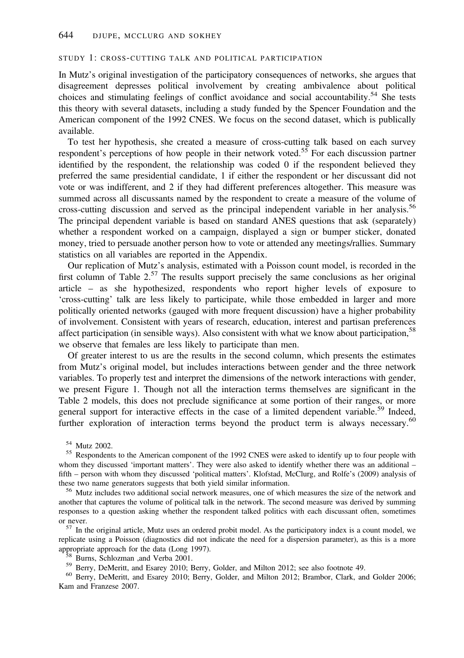# STUDY 1: CROSS-CUTTING TALK AND POLITICAL PARTICIPATION

In Mutz's original investigation of the participatory consequences of networks, she argues that disagreement depresses political involvement by creating ambivalence about political choices and stimulating feelings of conflict avoidance and social accountability.<sup>54</sup> She tests this theory with several datasets, including a study funded by the Spencer Foundation and the American component of the 1992 CNES. We focus on the second dataset, which is publically available.

To test her hypothesis, she created a measure of cross-cutting talk based on each survey respondent's perceptions of how people in their network voted.<sup>55</sup> For each discussion partner identified by the respondent, the relationship was coded 0 if the respondent believed they preferred the same presidential candidate, 1 if either the respondent or her discussant did not vote or was indifferent, and 2 if they had different preferences altogether. This measure was summed across all discussants named by the respondent to create a measure of the volume of cross-cutting discussion and served as the principal independent variable in her analysis.<sup>56</sup> The principal dependent variable is based on standard ANES questions that ask (separately) whether a respondent worked on a campaign, displayed a sign or bumper sticker, donated money, tried to persuade another person how to vote or attended any meetings/rallies. Summary statistics on all variables are reported in the Appendix.

Our replication of Mutz's analysis, estimated with a Poisson count model, is recorded in the first column of Table  $2^{57}$ . The results support precisely the same conclusions as her original article – as she hypothesized, respondents who report higher levels of exposure to 'cross-cutting' talk are less likely to participate, while those embedded in larger and more politically oriented networks (gauged with more frequent discussion) have a higher probability of involvement. Consistent with years of research, education, interest and partisan preferences affect participation (in sensible ways). Also consistent with what we know about participation,<sup>58</sup> we observe that females are less likely to participate than men.

Of greater interest to us are the results in the second column, which presents the estimates from Mutz's original model, but includes interactions between gender and the three network variables. To properly test and interpret the dimensions of the network interactions with gender, we present [Figure 1](#page-9-0). Though not all the interaction terms themselves are significant in the Table 2 models, this does not preclude significance at some portion of their ranges, or more general support for interactive effects in the case of a limited dependent variable.<sup>59</sup> Indeed, further exploration of interaction terms beyond the product term is always necessary.<sup>60</sup>

<sup>54</sup> Mutz [2002.](#page-20-0)<br><sup>55</sup> Respondents to the American component of the 1992 CNES were asked to identify up to four people with whom they discussed 'important matters'. They were also asked to identify whether there was an additional – fifth – person with whom they discussed 'political matters'. Klofstad, McClurg, and Rolfe's [\(2009](#page-19-0)) analysis of these two name generators suggests that both yield similar information.<br><sup>56</sup> Mutz includes two additional social network measures, one of which measures the size of the network and

another that captures the volume of political talk in the network. The second measure was derived by summing responses to a question asking whether the respondent talked politics with each discussant often, sometimes or never.<br><sup>57</sup> In the original article, Mutz uses an ordered probit model. As the participatory index is a count model, we

replicate using a Poisson (diagnostics did not indicate the need for a dispersion parameter), as this is a more appropriate approach for the data (Long 1997).

<sup>58</sup> Burns, Schlozman ,and Verba [2001.](#page-18-0)<br><sup>59</sup> Berry, DeMeritt, and Esarey [2010;](#page-18-0) Berry, Golder, and Milton [2012](#page-18-0); see also footnote 49.<br><sup>60</sup> Berry, DeMeritt, and Esarey [2010](#page-18-0); Berry, Golder, and Milton 2012; Brambor, Clark, and Kam and Franzese [2007](#page-19-0).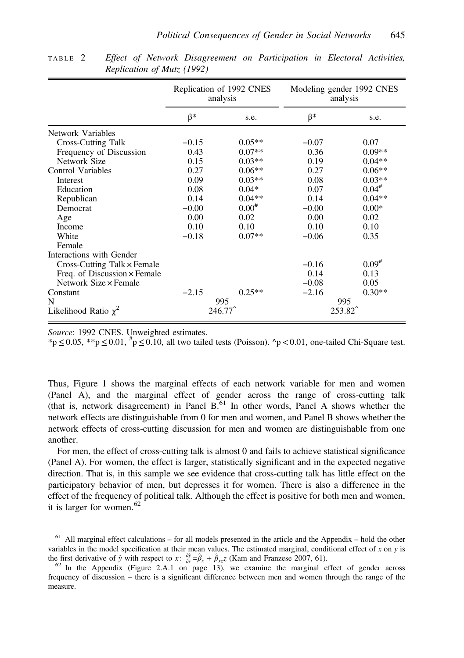|                                      |                     | Replication of 1992 CNES<br>analysis | Modeling gender 1992 CNES<br>analysis |            |  |
|--------------------------------------|---------------------|--------------------------------------|---------------------------------------|------------|--|
|                                      | $\beta^*$           | s.e.                                 | $\beta^*$                             | s.e.       |  |
| Network Variables                    |                     |                                      |                                       |            |  |
| Cross-Cutting Talk                   | $-0.15$             | $0.05**$                             | $-0.07$                               | 0.07       |  |
| Frequency of Discussion              | 0.43                | $0.07**$                             | 0.36                                  | $0.09**$   |  |
| Network Size                         | 0.15                | $0.03**$                             | 0.19                                  | $0.04**$   |  |
| <b>Control Variables</b>             | 0.27                | $0.06**$                             | 0.27                                  | $0.06**$   |  |
| Interest                             | 0.09                | $0.03**$                             | 0.08                                  | $0.03**$   |  |
| Education                            | 0.08                | $0.04*$                              | 0.07                                  | $0.04^{#}$ |  |
| Republican                           | 0.14                | $0.04**$                             | 0.14                                  | $0.04**$   |  |
| Democrat                             | $-0.00$             | $0.00^{#}$                           | $-0.00$                               | $0.00*$    |  |
| Age                                  | 0.00                | 0.02                                 | 0.00                                  | 0.02       |  |
| Income                               | 0.10                | 0.10                                 | 0.10                                  | 0.10       |  |
| White                                | $-0.18$             | $0.07**$                             | $-0.06$                               | 0.35       |  |
| Female                               |                     |                                      |                                       |            |  |
| Interactions with Gender             |                     |                                      |                                       |            |  |
| $Cross-Cutting$ Talk $\times$ Female |                     |                                      | $-0.16$                               | $0.09^{#}$ |  |
| Freq. of Discussion × Female         |                     |                                      | 0.14                                  | 0.13       |  |
| Network Size x Female                |                     |                                      | $-0.08$                               | 0.05       |  |
| Constant                             | $-2.15$             | $0.25**$                             | $-2.16$                               | $0.30**$   |  |
| N                                    | 995                 |                                      | 995                                   |            |  |
| Likelihood Ratio $\chi^2$            | 246.77 <sup>^</sup> |                                      | 253.82                                |            |  |

TABLE 2 Effect of Network Disagreement on Participation in Electoral Activities, Replication of Mutz (1992)

Source: 1992 CNES. Unweighted estimates.

\*p  $\leq$  0.05, \*\*p  $\leq$  0.01,  $\frac{4}{7}$  p  $\leq$  0.10, all two tailed tests (Poisson). ^p < 0.01, one-tailed Chi-Square test.

Thus, [Figure 1](#page-9-0) shows the marginal effects of each network variable for men and women (Panel A), and the marginal effect of gender across the range of cross-cutting talk (that is, network disagreement) in Panel  $B<sup>61</sup>$  In other words, Panel A shows whether the network effects are distinguishable from 0 for men and women, and Panel B shows whether the network effects of cross-cutting discussion for men and women are distinguishable from one another.

For men, the effect of cross-cutting talk is almost 0 and fails to achieve statistical significance (Panel A). For women, the effect is larger, statistically significant and in the expected negative direction. That is, in this sample we see evidence that cross-cutting talk has little effect on the participatory behavior of men, but depresses it for women. There is also a difference in the effect of the frequency of political talk. Although the effect is positive for both men and women, it is larger for women.<sup>62</sup>

 $<sup>61</sup>$  All marginal effect calculations – for all models presented in the article and the Appendix – hold the other</sup> variables in the model specification at their mean values. The estimated marginal, conditional effect of  $x$  on  $y$  is the first derivative of  $\hat{y}$  with respect to  $x : \frac{\partial \hat{y}}{\partial x} = \hat{\beta}_x + \hat{\beta}_{xz}z$  (Kam and Franzese 2007, 61).

 $62$  In the Appendix (Figure 2.A.1 on page 13), we examine the marginal effect of gender across frequency of discussion – there is a significant difference between men and women through the range of the measure.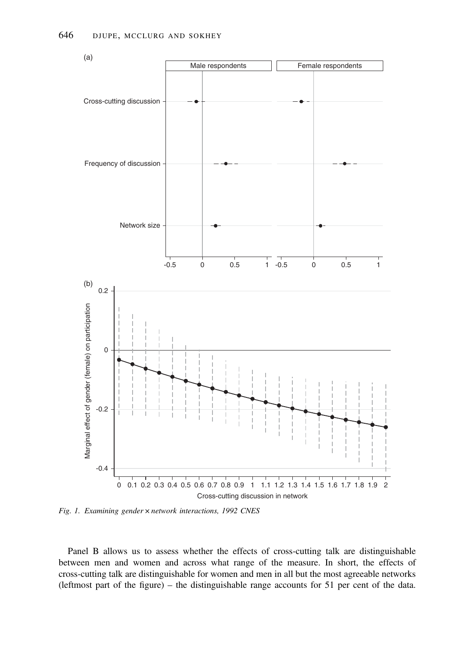<span id="page-9-0"></span>

Fig. 1. Examining gender x network interactions, 1992 CNES

Panel B allows us to assess whether the effects of cross-cutting talk are distinguishable between men and women and across what range of the measure. In short, the effects of cross-cutting talk are distinguishable for women and men in all but the most agreeable networks (leftmost part of the figure) – the distinguishable range accounts for 51 per cent of the data.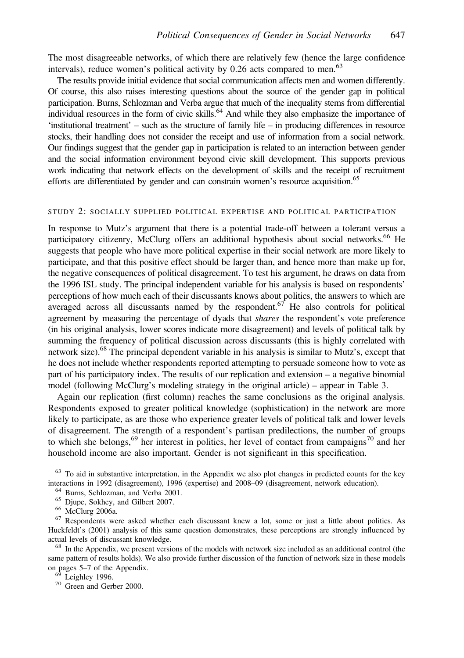The most disagreeable networks, of which there are relatively few (hence the large confidence intervals), reduce women's political activity by  $0.26$  acts compared to men.<sup>63</sup>

The results provide initial evidence that social communication affects men and women differently. Of course, this also raises interesting questions about the source of the gender gap in political participation. Burns, Schlozman and Verba argue that much of the inequality stems from differential individual resources in the form of civic skills.<sup>64</sup> And while they also emphasize the importance of 'institutional treatment' – such as the structure of family life – in producing differences in resource stocks, their handling does not consider the receipt and use of information from a social network. Our findings suggest that the gender gap in participation is related to an interaction between gender and the social information environment beyond civic skill development. This supports previous work indicating that network effects on the development of skills and the receipt of recruitment efforts are differentiated by gender and can constrain women's resource acquisition.<sup>65</sup>

# STUDY 2: SOCIALLY SUPPLIED POLITICAL EXPERTISE AND POLITICAL PARTICIPATION

In response to Mutz's argument that there is a potential trade-off between a tolerant versus a participatory citizenry, McClurg offers an additional hypothesis about social networks.<sup>66</sup> He suggests that people who have more political expertise in their social network are more likely to participate, and that this positive effect should be larger than, and hence more than make up for, the negative consequences of political disagreement. To test his argument, he draws on data from the 1996 ISL study. The principal independent variable for his analysis is based on respondents' perceptions of how much each of their discussants knows about politics, the answers to which are averaged across all discussants named by the respondent.<sup>67</sup> He also controls for political agreement by measuring the percentage of dyads that *shares* the respondent's vote preference (in his original analysis, lower scores indicate more disagreement) and levels of political talk by summing the frequency of political discussion across discussants (this is highly correlated with network size).<sup>68</sup> The principal dependent variable in his analysis is similar to Mutz's, except that he does not include whether respondents reported attempting to persuade someone how to vote as part of his participatory index. The results of our replication and extension – a negative binomial model (following McClurg's modeling strategy in the original article) – appear in Table 3.

Again our replication (first column) reaches the same conclusions as the original analysis. Respondents exposed to greater political knowledge (sophistication) in the network are more likely to participate, as are those who experience greater levels of political talk and lower levels of disagreement. The strength of a respondent's partisan predilections, the number of groups to which she belongs,<sup>69</sup> her interest in politics, her level of contact from campaigns<sup>70</sup> and her household income are also important. Gender is not significant in this specification.

<sup>63</sup> To aid in substantive interpretation, in the Appendix we also plot changes in predicted counts for the key interactions in 1992 (disagreement), 1996 (expertise) and 2008–09 (disagreement, network education).<br><sup>64</sup> Burns, Schlozman, and Verba [2001.](#page-18-0)<br><sup>65</sup> Djupe, Sokhey, and Gilbert [2007](#page-18-0).<br><sup>66</sup> McClurg [2006a.](#page-20-0)<br><sup>67</sup> Respondents were as

Huckfeldt's ([2001](#page-19-0)) analysis of this same question demonstrates, these perceptions are strongly influenced by actual levels of discussant knowledge.<br><sup>68</sup> In the Appendix, we present versions of the models with network size included as an additional control (the

same pattern of results holds). We also provide further discussion of the function of network size in these models on pages 5–7 of the Appendix.<br> $^{69}$  Leighley [1996.](#page-19-0)<br> $^{70}$  Green and Gerber [2000](#page-19-0).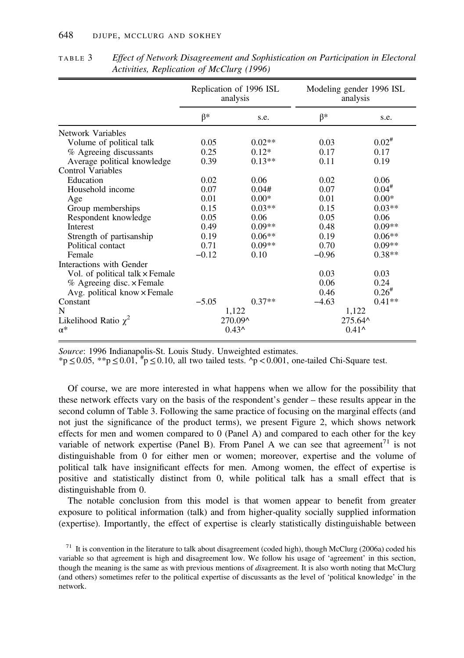|                                    |                | Replication of 1996 ISL<br>analysis | Modeling gender 1996 ISL<br>analysis |                     |  |
|------------------------------------|----------------|-------------------------------------|--------------------------------------|---------------------|--|
|                                    | $\beta^*$      | s.e.                                | $\beta^*$                            | s.e.                |  |
| Network Variables                  |                |                                     |                                      |                     |  |
| Volume of political talk           | 0.05           | $0.02**$                            | 0.03                                 | $0.02$ <sup>#</sup> |  |
| % Agreeing discussants             | 0.25           | $0.12*$                             | 0.17                                 | 0.17                |  |
| Average political knowledge        | 0.39           | $0.13**$                            | 0.11                                 | 0.19                |  |
| <b>Control Variables</b>           |                |                                     |                                      |                     |  |
| Education                          | 0.02           | 0.06                                | 0.02                                 | 0.06                |  |
| Household income                   | 0.07           | 0.04#                               | 0.07                                 | $0.04$ <sup>#</sup> |  |
| Age                                | 0.01           | $0.00*$                             | 0.01                                 | $0.00*$             |  |
| Group memberships                  | 0.15           | $0.03**$                            | 0.15                                 | $0.03**$            |  |
| Respondent knowledge               | 0.05           | 0.06                                | 0.05                                 | 0.06                |  |
| <b>Interest</b>                    | 0.49           | $0.09**$                            | 0.48                                 | $0.09**$            |  |
| Strength of partisanship           | 0.19           | $0.06**$                            | 0.19                                 | $0.06**$            |  |
| Political contact                  | 0.71           | $0.09**$                            | 0.70                                 | $0.09**$            |  |
| Female                             | $-0.12$        | 0.10                                | $-0.96$                              | $0.38**$            |  |
| Interactions with Gender           |                |                                     |                                      |                     |  |
| Vol. of political talk x Female    |                |                                     | 0.03                                 | 0.03                |  |
| $%$ Agreeing disc. $\times$ Female |                |                                     | 0.06                                 | 0.24                |  |
| Avg. political know x Female       |                |                                     | 0.46                                 | $0.26^{*}$          |  |
| Constant                           | $-5.05$        | $0.37**$                            | $-4.63$                              | $0.41**$            |  |
| N                                  | 1,122          |                                     | 1,122                                |                     |  |
| Likelihood Ratio $\chi^2$          | 270.09^        |                                     | 275.64^                              |                     |  |
| $\alpha^*$                         | $0.43^{\circ}$ |                                     | $0.41^{\circ}$                       |                     |  |

TABLE 3 Effect of Network Disagreement and Sophistication on Participation in Electoral Activities, Replication of McClurg (1996)

Source: 1996 Indianapolis-St. Louis Study. Unweighted estimates.

\*p  $\leq$  0.05, \*\*p  $\leq$  0.01,  $^{*}$ p  $\leq$  0.10, all two tailed tests. ^p < 0.001, one-tailed Chi-Square test.

Of course, we are more interested in what happens when we allow for the possibility that these network effects vary on the basis of the respondent's gender – these results appear in the second column of Table 3. Following the same practice of focusing on the marginal effects (and not just the significance of the product terms), we present [Figure 2](#page-12-0), which shows network effects for men and women compared to  $0$  (Panel A) and compared to each other for the key variable of network expertise (Panel B). From Panel A we can see that agreement<sup>71</sup> is not distinguishable from 0 for either men or women; moreover, expertise and the volume of political talk have insignificant effects for men. Among women, the effect of expertise is positive and statistically distinct from 0, while political talk has a small effect that is distinguishable from 0.

The notable conclusion from this model is that women appear to benefit from greater exposure to political information (talk) and from higher-quality socially supplied information (expertise). Importantly, the effect of expertise is clearly statistically distinguishable between

 $71$  It is convention in the literature to talk about disagreement (coded high), though McClurg ([2006a\)](#page-20-0) coded his variable so that agreement is high and disagreement low. We follow his usage of 'agreement' in this section, though the meaning is the same as with previous mentions of disagreement. It is also worth noting that McClurg (and others) sometimes refer to the political expertise of discussants as the level of 'political knowledge' in the network.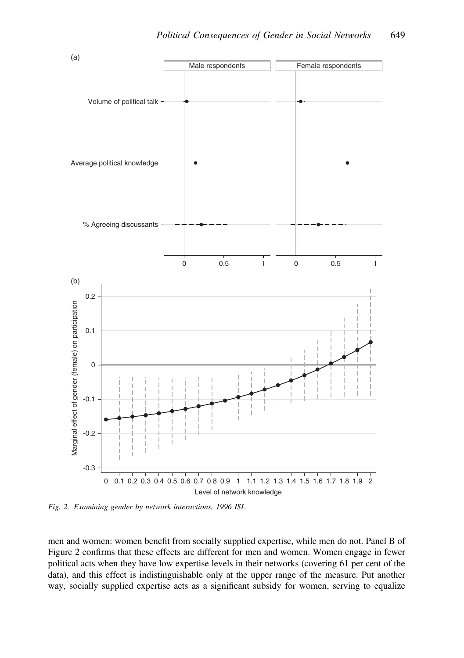<span id="page-12-0"></span>

Fig. 2. Examining gender by network interactions, 1996 ISL

men and women: women benefit from socially supplied expertise, while men do not. Panel B of Figure 2 confirms that these effects are different for men and women. Women engage in fewer political acts when they have low expertise levels in their networks (covering 61 per cent of the data), and this effect is indistinguishable only at the upper range of the measure. Put another way, socially supplied expertise acts as a significant subsidy for women, serving to equalize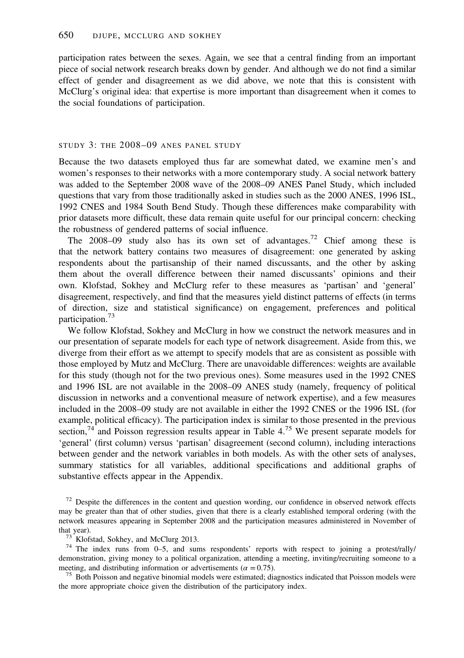participation rates between the sexes. Again, we see that a central finding from an important piece of social network research breaks down by gender. And although we do not find a similar effect of gender and disagreement as we did above, we note that this is consistent with McClurg's original idea: that expertise is more important than disagreement when it comes to the social foundations of participation.

# STUDY 3: THE 2008–09 ANES PANEL STUDY

Because the two datasets employed thus far are somewhat dated, we examine men's and women's responses to their networks with a more contemporary study. A social network battery was added to the September 2008 wave of the 2008–09 ANES Panel Study, which included questions that vary from those traditionally asked in studies such as the 2000 ANES, 1996 ISL, 1992 CNES and 1984 South Bend Study. Though these differences make comparability with prior datasets more difficult, these data remain quite useful for our principal concern: checking the robustness of gendered patterns of social influence.

The 2008–09 study also has its own set of advantages.<sup>72</sup> Chief among these is that the network battery contains two measures of disagreement: one generated by asking respondents about the partisanship of their named discussants, and the other by asking them about the overall difference between their named discussants' opinions and their own. Klofstad, Sokhey and McClurg refer to these measures as 'partisan' and 'general' disagreement, respectively, and find that the measures yield distinct patterns of effects (in terms of direction, size and statistical significance) on engagement, preferences and political participation.<sup>73</sup>

We follow Klofstad, Sokhey and McClurg in how we construct the network measures and in our presentation of separate models for each type of network disagreement. Aside from this, we diverge from their effort as we attempt to specify models that are as consistent as possible with those employed by Mutz and McClurg. There are unavoidable differences: weights are available for this study (though not for the two previous ones). Some measures used in the 1992 CNES and 1996 ISL are not available in the 2008–09 ANES study (namely, frequency of political discussion in networks and a conventional measure of network expertise), and a few measures included in the 2008–09 study are not available in either the 1992 CNES or the 1996 ISL (for example, political efficacy). The participation index is similar to those presented in the previous section,<sup>74</sup> and Poisson regression results appear in Table 4.<sup>75</sup> We present separate models for 'general' (first column) versus 'partisan' disagreement (second column), including interactions between gender and the network variables in both models. As with the other sets of analyses, summary statistics for all variables, additional specifications and additional graphs of substantive effects appear in the Appendix.

 $72$  Despite the differences in the content and question wording, our confidence in observed network effects may be greater than that of other studies, given that there is a clearly established temporal ordering (with the network measures appearing in September 2008 and the participation measures administered in November of that year).<br><sup>73</sup> Klofstad, Sokhey, and McClurg [2013.](#page-19-0)<br><sup>74</sup> The index runs from 0–5, and sums respondents' reports with respect to joining a protest/rally/

the more appropriate choice given the distribution of the participatory index.

demonstration, giving money to a political organization, attending a meeting, inviting/recruiting someone to a meeting, and distributing information or advertisements ( $\alpha = 0.75$ ).<br><sup>75</sup> Both Poisson and negative binomial models were estimated; diagnostics indicated that Poisson models were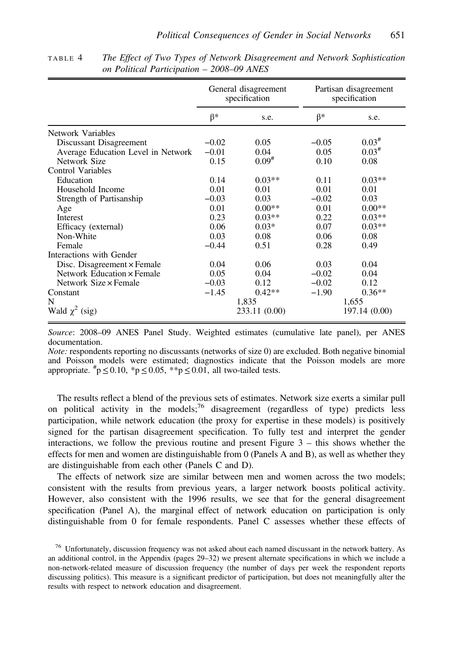|                                    | General disagreement<br>specification |               | Partisan disagreement<br>specification |               |
|------------------------------------|---------------------------------------|---------------|----------------------------------------|---------------|
|                                    | $\beta^*$                             | s.e.          | $\beta^*$                              | s.e.          |
| Network Variables                  |                                       |               |                                        |               |
| Discussant Disagreement            | $-0.02$                               | 0.05          | $-0.05$                                | $0.03^{*}$    |
| Average Education Level in Network | $-0.01$                               | 0.04          | 0.05                                   | $0.03^{*}$    |
| Network Size                       | 0.15                                  | $0.09^{#}$    | 0.10                                   | 0.08          |
| <b>Control Variables</b>           |                                       |               |                                        |               |
| Education                          | 0.14                                  | $0.03**$      | 0.11                                   | $0.03**$      |
| Household Income                   | 0.01                                  | 0.01          | 0.01                                   | 0.01          |
| Strength of Partisanship           | $-0.03$                               | 0.03          | $-0.02$                                | 0.03          |
| Age                                | 0.01                                  | $0.00**$      | 0.01                                   | $0.00**$      |
| <b>Interest</b>                    | 0.23                                  | $0.03**$      | 0.22                                   | $0.03**$      |
| Efficacy (external)                | 0.06                                  | $0.03*$       | 0.07                                   | $0.03**$      |
| Non-White                          | 0.03                                  | 0.08          | 0.06                                   | 0.08          |
| Female                             | $-0.44$                               | 0.51          | 0.28                                   | 0.49          |
| Interactions with Gender           |                                       |               |                                        |               |
| Disc. Disagreement $\times$ Female | 0.04                                  | 0.06          | 0.03                                   | 0.04          |
| Network Education x Female         | 0.05                                  | 0.04          | $-0.02$                                | 0.04          |
| Network Size × Female              | $-0.03$                               | 0.12          | $-0.02$                                | 0.12          |
| Constant                           | $-1.45$                               | $0.42**$      | $-1.90$                                | $0.36**$      |
| N                                  |                                       | 1,835         |                                        | 1,655         |
| Wald $\chi^2$ (sig)                |                                       | 233.11 (0.00) |                                        | 197.14 (0.00) |

| TABLE 4 | The Effect of Two Types of Network Disagreement and Network Sophistication |
|---------|----------------------------------------------------------------------------|
|         | on Political Participation – 2008–09 ANES                                  |

Source: 2008–09 ANES Panel Study. Weighted estimates (cumulative late panel), per ANES documentation.

Note: respondents reporting no discussants (networks of size 0) are excluded. Both negative binomial and Poisson models were estimated; diagnostics indicate that the Poisson models are more appropriate.  $^{\#}p \leq 0.10$ ,  $^{\ast}p \leq 0.05$ ,  $^{\ast\ast}p \leq 0.01$ , all two-tailed tests.

The results reflect a blend of the previous sets of estimates. Network size exerts a similar pull on political activity in the models;<sup>76</sup> disagreement (regardless of type) predicts less participation, while network education (the proxy for expertise in these models) is positively signed for the partisan disagreement specification. To fully test and interpret the gender interactions, we follow the previous routine and present [Figure 3](#page-15-0) – this shows whether the effects for men and women are distinguishable from 0 (Panels A and B), as well as whether they are distinguishable from each other (Panels C and D).

The effects of network size are similar between men and women across the two models; consistent with the results from previous years, a larger network boosts political activity. However, also consistent with the 1996 results, we see that for the general disagreement specification (Panel A), the marginal effect of network education on participation is only distinguishable from 0 for female respondents. Panel C assesses whether these effects of

<sup>&</sup>lt;sup>76</sup> Unfortunately, discussion frequency was not asked about each named discussant in the network battery. As an additional control, in the Appendix (pages 29–32) we present alternate specifications in which we include a non-network-related measure of discussion frequency (the number of days per week the respondent reports discussing politics). This measure is a significant predictor of participation, but does not meaningfully alter the results with respect to network education and disagreement.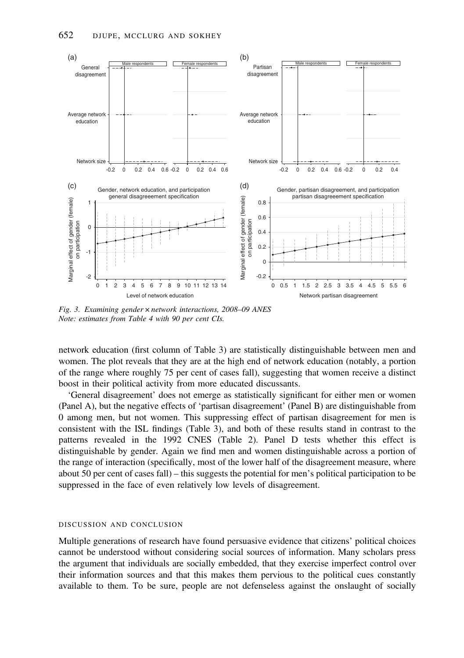<span id="page-15-0"></span>

Fig. 3. Examining gender x network interactions, 2008-09 ANES Note: estimates from Table 4 with 90 per cent CIs.

network education (first column of Table 3) are statistically distinguishable between men and women. The plot reveals that they are at the high end of network education (notably, a portion of the range where roughly 75 per cent of cases fall), suggesting that women receive a distinct boost in their political activity from more educated discussants.

'General disagreement' does not emerge as statistically significant for either men or women (Panel A), but the negative effects of 'partisan disagreement' (Panel B) are distinguishable from 0 among men, but not women. This suppressing effect of partisan disagreement for men is consistent with the ISL findings (Table 3), and both of these results stand in contrast to the patterns revealed in the 1992 CNES (Table 2). Panel D tests whether this effect is distinguishable by gender. Again we find men and women distinguishable across a portion of the range of interaction (specifically, most of the lower half of the disagreement measure, where about 50 per cent of cases fall) – this suggests the potential for men's political participation to be suppressed in the face of even relatively low levels of disagreement.

### DISCUSSION AND CONCLUSION

Multiple generations of research have found persuasive evidence that citizens' political choices cannot be understood without considering social sources of information. Many scholars press the argument that individuals are socially embedded, that they exercise imperfect control over their information sources and that this makes them pervious to the political cues constantly available to them. To be sure, people are not defenseless against the onslaught of socially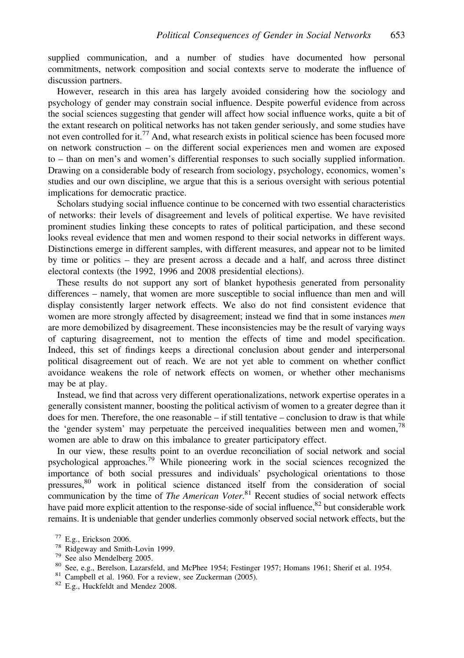supplied communication, and a number of studies have documented how personal commitments, network composition and social contexts serve to moderate the influence of discussion partners.

However, research in this area has largely avoided considering how the sociology and psychology of gender may constrain social influence. Despite powerful evidence from across the social sciences suggesting that gender will affect how social influence works, quite a bit of the extant research on political networks has not taken gender seriously, and some studies have not even controlled for it.<sup>77</sup> And, what research exists in political science has been focused more on network construction – on the different social experiences men and women are exposed to – than on men's and women's differential responses to such socially supplied information. Drawing on a considerable body of research from sociology, psychology, economics, women's studies and our own discipline, we argue that this is a serious oversight with serious potential implications for democratic practice.

Scholars studying social influence continue to be concerned with two essential characteristics of networks: their levels of disagreement and levels of political expertise. We have revisited prominent studies linking these concepts to rates of political participation, and these second looks reveal evidence that men and women respond to their social networks in different ways. Distinctions emerge in different samples, with different measures, and appear not to be limited by time or politics – they are present across a decade and a half, and across three distinct electoral contexts (the 1992, 1996 and 2008 presidential elections).

These results do not support any sort of blanket hypothesis generated from personality differences – namely, that women are more susceptible to social influence than men and will display consistently larger network effects. We also do not find consistent evidence that women are more strongly affected by disagreement; instead we find that in some instances *men* are more demobilized by disagreement. These inconsistencies may be the result of varying ways of capturing disagreement, not to mention the effects of time and model specification. Indeed, this set of findings keeps a directional conclusion about gender and interpersonal political disagreement out of reach. We are not yet able to comment on whether conflict avoidance weakens the role of network effects on women, or whether other mechanisms may be at play.

Instead, we find that across very different operationalizations, network expertise operates in a generally consistent manner, boosting the political activism of women to a greater degree than it does for men. Therefore, the one reasonable – if still tentative – conclusion to draw is that while the 'gender system' may perpetuate the perceived inequalities between men and women,  $78$ women are able to draw on this imbalance to greater participatory effect.

In our view, these results point to an overdue reconciliation of social network and social psychological approaches.<sup>79</sup> While pioneering work in the social sciences recognized the importance of both social pressures and individuals' psychological orientations to those pressures,80 work in political science distanced itself from the consideration of social communication by the time of The American Voter.<sup>81</sup> Recent studies of social network effects have paid more explicit attention to the response-side of social influence, $82$  but considerable work remains. It is undeniable that gender underlies commonly observed social network effects, but the

- <sup>77</sup> E.g., Erickson [2006](#page-18-0).<br><sup>78</sup> Ridgeway and Smith-Lovin [1999.](#page-20-0)<br><sup>79</sup> See also Mendelberg [2005.](#page-20-0)<br><sup>80</sup> See, e.g., Berelson, Lazarsfeld, and McPhee [1954](#page-20-0); Festinger [1957;](#page-18-0) Homans [1961](#page-19-0); Sherif et al. 1954.<br><sup>81</sup> Campbell et al. 196
- 
-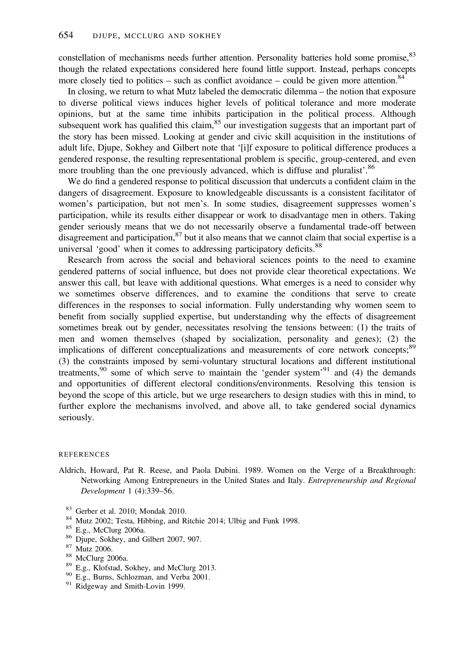<span id="page-17-0"></span>constellation of mechanisms needs further attention. Personality batteries hold some promise.<sup>83</sup> though the related expectations considered here found little support. Instead, perhaps concepts more closely tied to politics – such as conflict avoidance – could be given more attention.<sup>84</sup>

In closing, we return to what Mutz labeled the democratic dilemma – the notion that exposure to diverse political views induces higher levels of political tolerance and more moderate opinions, but at the same time inhibits participation in the political process. Although subsequent work has qualified this claim,  $85$  our investigation suggests that an important part of the story has been missed. Looking at gender and civic skill acquisition in the institutions of adult life, Djupe, Sokhey and Gilbert note that '[i]f exposure to political difference produces a gendered response, the resulting representational problem is specific, group-centered, and even more troubling than the one previously advanced, which is diffuse and pluralist'.<sup>86</sup>

We do find a gendered response to political discussion that undercuts a confident claim in the dangers of disagreement. Exposure to knowledgeable discussants is a consistent facilitator of women's participation, but not men's. In some studies, disagreement suppresses women's participation, while its results either disappear or work to disadvantage men in others. Taking gender seriously means that we do not necessarily observe a fundamental trade-off between disagreement and participation, $87$  but it also means that we cannot claim that social expertise is a universal 'good' when it comes to addressing participatory deficits.<sup>88</sup>

Research from across the social and behavioral sciences points to the need to examine gendered patterns of social influence, but does not provide clear theoretical expectations. We answer this call, but leave with additional questions. What emerges is a need to consider why we sometimes observe differences, and to examine the conditions that serve to create differences in the responses to social information. Fully understanding why women seem to benefit from socially supplied expertise, but understanding why the effects of disagreement sometimes break out by gender, necessitates resolving the tensions between: (1) the traits of men and women themselves (shaped by socialization, personality and genes); (2) the implications of different conceptualizations and measurements of core network concepts;<sup>89</sup> (3) the constraints imposed by semi-voluntary structural locations and different institutional treatments,<sup>90</sup> some of which serve to maintain the 'gender system'<sup>91</sup> and (4) the demands and opportunities of different electoral conditions/environments. Resolving this tension is beyond the scope of this article, but we urge researchers to design studies with this in mind, to further explore the mechanisms involved, and above all, to take gendered social dynamics seriously.

# REFERENCES

- Aldrich, Howard, Pat R. Reese, and Paola Dubini. 1989. Women on the Verge of a Breakthrough: Networking Among Entrepreneurs in the United States and Italy. Entrepreneurship and Regional Development 1 (4):339–56.
	-
	- <sup>83</sup> Gerber et al. [2010](#page-20-0); Mondak 2010.<br>
	<sup>84</sup> Mutz [2002;](#page-20-0) Testa, Hibbing, and Ritchie [2014;](#page-21-0) Ulbig and Funk 1998.<br>
	<sup>85</sup> E.g., McClurg [2006a.](#page-20-0)<br>
	<sup>86</sup> Djupe, Sokhey, and Gilbert [2007,](#page-18-0) 907.<br>
	<sup>87</sup> Mutz [2006.](#page-20-0)<br>
	<sup>88</sup> McClurg [2006a](#page-20-0).<br>
	<sup></sup>
	-
	-
	-
	-
	-
	-
	-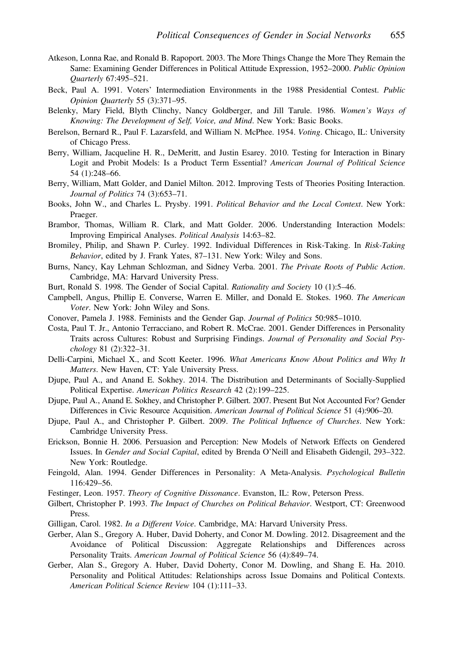- <span id="page-18-0"></span>Atkeson, Lonna Rae, and Ronald B. Rapoport. 2003. The More Things Change the More They Remain the Same: Examining Gender Differences in Political Attitude Expression, 1952–2000. Public Opinion Quarterly 67:495–521.
- Beck, Paul A. 1991. Voters' Intermediation Environments in the 1988 Presidential Contest. Public Opinion Quarterly 55 (3):371–95.
- Belenky, Mary Field, Blyth Clinchy, Nancy Goldberger, and Jill Tarule. 1986. Women's Ways of Knowing: The Development of Self, Voice, and Mind. New York: Basic Books.
- Berelson, Bernard R., Paul F. Lazarsfeld, and William N. McPhee. 1954. Voting. Chicago, IL: University of Chicago Press.
- Berry, William, Jacqueline H. R., DeMeritt, and Justin Esarey. 2010. Testing for Interaction in Binary Logit and Probit Models: Is a Product Term Essential? American Journal of Political Science 54 (1):248–66.
- Berry, William, Matt Golder, and Daniel Milton. 2012. Improving Tests of Theories Positing Interaction. Journal of Politics 74 (3):653–71.
- Books, John W., and Charles L. Prysby. 1991. Political Behavior and the Local Context. New York: Praeger.
- Brambor, Thomas, William R. Clark, and Matt Golder. 2006. Understanding Interaction Models: Improving Empirical Analyses. Political Analysis 14:63–82.
- Bromiley, Philip, and Shawn P. Curley. 1992. Individual Differences in Risk-Taking. In Risk-Taking Behavior, edited by J. Frank Yates, 87–131. New York: Wiley and Sons.
- Burns, Nancy, Kay Lehman Schlozman, and Sidney Verba. 2001. The Private Roots of Public Action. Cambridge, MA: Harvard University Press.
- Burt, Ronald S. 1998. The Gender of Social Capital. Rationality and Society 10 (1):5-46.
- Campbell, Angus, Phillip E. Converse, Warren E. Miller, and Donald E. Stokes. 1960. The American Voter. New York: John Wiley and Sons.
- Conover, Pamela J. 1988. Feminists and the Gender Gap. Journal of Politics 50:985–1010.
- Costa, Paul T. Jr., Antonio Terracciano, and Robert R. McCrae. 2001. Gender Differences in Personality Traits across Cultures: Robust and Surprising Findings. Journal of Personality and Social Psychology 81 (2):322–31.
- Delli-Carpini, Michael X., and Scott Keeter. 1996. What Americans Know About Politics and Why It Matters. New Haven, CT: Yale University Press.
- Djupe, Paul A., and Anand E. Sokhey. 2014. The Distribution and Determinants of Socially-Supplied Political Expertise. American Politics Research 42 (2):199–225.
- Djupe, Paul A., Anand E. Sokhey, and Christopher P. Gilbert. 2007. Present But Not Accounted For? Gender Differences in Civic Resource Acquisition. American Journal of Political Science 51 (4):906–20.
- Djupe, Paul A., and Christopher P. Gilbert. 2009. The Political Influence of Churches. New York: Cambridge University Press.
- Erickson, Bonnie H. 2006. Persuasion and Perception: New Models of Network Effects on Gendered Issues. In Gender and Social Capital, edited by Brenda O'Neill and Elisabeth Gidengil, 293–322. New York: Routledge.
- Feingold, Alan. 1994. Gender Differences in Personality: A Meta-Analysis. Psychological Bulletin 116:429–56.
- Festinger, Leon. 1957. Theory of Cognitive Dissonance. Evanston, IL: Row, Peterson Press.
- Gilbert, Christopher P. 1993. The Impact of Churches on Political Behavior. Westport, CT: Greenwood Press.
- Gilligan, Carol. 1982. In a Different Voice. Cambridge, MA: Harvard University Press.
- Gerber, Alan S., Gregory A. Huber, David Doherty, and Conor M. Dowling. 2012. Disagreement and the Avoidance of Political Discussion: Aggregate Relationships and Differences across Personality Traits. American Journal of Political Science 56 (4):849–74.
- Gerber, Alan S., Gregory A. Huber, David Doherty, Conor M. Dowling, and Shang E. Ha. 2010. Personality and Political Attitudes: Relationships across Issue Domains and Political Contexts. American Political Science Review 104 (1):111–33.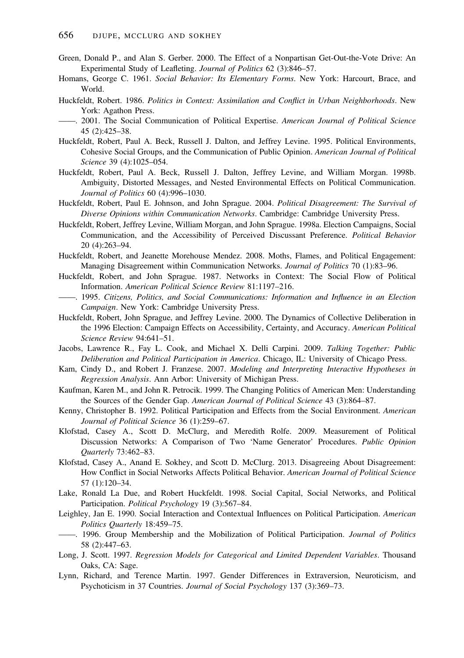- <span id="page-19-0"></span>Green, Donald P., and Alan S. Gerber. 2000. The Effect of a Nonpartisan Get-Out-the-Vote Drive: An Experimental Study of Leafleting. Journal of Politics 62 (3):846–57.
- Homans, George C. 1961. Social Behavior: Its Elementary Forms. New York: Harcourt, Brace, and World.
- Huckfeldt, Robert. 1986. Politics in Context: Assimilation and Conflict in Urban Neighborhoods. New York: Agathon Press.
- -. 2001. The Social Communication of Political Expertise. American Journal of Political Science 45 (2):425–38.
- Huckfeldt, Robert, Paul A. Beck, Russell J. Dalton, and Jeffrey Levine. 1995. Political Environments, Cohesive Social Groups, and the Communication of Public Opinion. American Journal of Political Science 39 (4):1025–054.
- Huckfeldt, Robert, Paul A. Beck, Russell J. Dalton, Jeffrey Levine, and William Morgan. 1998b. Ambiguity, Distorted Messages, and Nested Environmental Effects on Political Communication. Journal of Politics 60 (4):996–1030.
- Huckfeldt, Robert, Paul E. Johnson, and John Sprague. 2004. Political Disagreement: The Survival of Diverse Opinions within Communication Networks. Cambridge: Cambridge University Press.
- Huckfeldt, Robert, Jeffrey Levine, William Morgan, and John Sprague. 1998a. Election Campaigns, Social Communication, and the Accessibility of Perceived Discussant Preference. Political Behavior 20 (4):263–94.
- Huckfeldt, Robert, and Jeanette Morehouse Mendez. 2008. Moths, Flames, and Political Engagement: Managing Disagreement within Communication Networks. Journal of Politics 70 (1):83–96.
- Huckfeldt, Robert, and John Sprague. 1987. Networks in Context: The Social Flow of Political Information. American Political Science Review 81:1197–216.
- ——. 1995. Citizens, Politics, and Social Communications: Information and Influence in an Election Campaign. New York: Cambridge University Press.
- Huckfeldt, Robert, John Sprague, and Jeffrey Levine. 2000. The Dynamics of Collective Deliberation in the 1996 Election: Campaign Effects on Accessibility, Certainty, and Accuracy. American Political Science Review 94:641–51.
- Jacobs, Lawrence R., Fay L. Cook, and Michael X. Delli Carpini. 2009. Talking Together: Public Deliberation and Political Participation in America. Chicago, IL: University of Chicago Press.
- Kam, Cindy D., and Robert J. Franzese. 2007. Modeling and Interpreting Interactive Hypotheses in Regression Analysis. Ann Arbor: University of Michigan Press.
- Kaufman, Karen M., and John R. Petrocik. 1999. The Changing Politics of American Men: Understanding the Sources of the Gender Gap. American Journal of Political Science 43 (3):864–87.
- Kenny, Christopher B. 1992. Political Participation and Effects from the Social Environment. American Journal of Political Science 36 (1):259–67.
- Klofstad, Casey A., Scott D. McClurg, and Meredith Rolfe. 2009. Measurement of Political Discussion Networks: A Comparison of Two 'Name Generator' Procedures. Public Opinion Quarterly 73:462–83.
- Klofstad, Casey A., Anand E. Sokhey, and Scott D. McClurg. 2013. Disagreeing About Disagreement: How Conflict in Social Networks Affects Political Behavior. American Journal of Political Science 57 (1):120–34.
- Lake, Ronald La Due, and Robert Huckfeldt. 1998. Social Capital, Social Networks, and Political Participation. Political Psychology 19 (3):567-84.
- Leighley, Jan E. 1990. Social Interaction and Contextual Influences on Political Participation. American Politics Quarterly 18:459–75.
- ——. 1996. Group Membership and the Mobilization of Political Participation. Journal of Politics 58 (2):447–63.
- Long, J. Scott. 1997. Regression Models for Categorical and Limited Dependent Variables. Thousand Oaks, CA: Sage.
- Lynn, Richard, and Terence Martin. 1997. Gender Differences in Extraversion, Neuroticism, and Psychoticism in 37 Countries. Journal of Social Psychology 137 (3):369–73.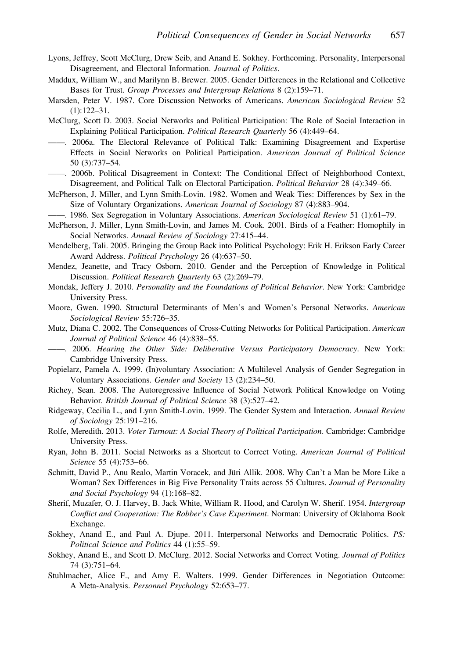- <span id="page-20-0"></span>Lyons, Jeffrey, Scott McClurg, Drew Seib, and Anand E. Sokhey. Forthcoming. Personality, Interpersonal Disagreement, and Electoral Information. Journal of Politics.
- Maddux, William W., and Marilynn B. Brewer. 2005. Gender Differences in the Relational and Collective Bases for Trust. Group Processes and Intergroup Relations 8 (2):159–71.
- Marsden, Peter V. 1987. Core Discussion Networks of Americans. American Sociological Review 52 (1):122–31.
- McClurg, Scott D. 2003. Social Networks and Political Participation: The Role of Social Interaction in Explaining Political Participation. Political Research Quarterly 56 (4):449–64.
- ——. 2006a. The Electoral Relevance of Political Talk: Examining Disagreement and Expertise Effects in Social Networks on Political Participation. American Journal of Political Science 50 (3):737–54.
- ——. 2006b. Political Disagreement in Context: The Conditional Effect of Neighborhood Context, Disagreement, and Political Talk on Electoral Participation. Political Behavior 28 (4):349–66.
- McPherson, J. Miller, and Lynn Smith-Lovin. 1982. Women and Weak Ties: Differences by Sex in the Size of Voluntary Organizations. American Journal of Sociology 87 (4):883–904.
	- ——. 1986. Sex Segregation in Voluntary Associations. American Sociological Review 51 (1):61–79.
- McPherson, J. Miller, Lynn Smith-Lovin, and James M. Cook. 2001. Birds of a Feather: Homophily in Social Networks. Annual Review of Sociology 27:415–44.
- Mendelberg, Tali. 2005. Bringing the Group Back into Political Psychology: Erik H. Erikson Early Career Award Address. Political Psychology 26 (4):637–50.
- Mendez, Jeanette, and Tracy Osborn. 2010. Gender and the Perception of Knowledge in Political Discussion. Political Research Quarterly 63 (2):269–79.
- Mondak, Jeffery J. 2010. Personality and the Foundations of Political Behavior. New York: Cambridge University Press.
- Moore, Gwen. 1990. Structural Determinants of Men's and Women's Personal Networks. American Sociological Review 55:726–35.
- Mutz, Diana C. 2002. The Consequences of Cross-Cutting Networks for Political Participation. American Journal of Political Science 46 (4):838–55.
- ——. 2006. Hearing the Other Side: Deliberative Versus Participatory Democracy. New York: Cambridge University Press.
- Popielarz, Pamela A. 1999. (In)voluntary Association: A Multilevel Analysis of Gender Segregation in Voluntary Associations. Gender and Society 13 (2):234–50.
- Richey, Sean. 2008. The Autoregressive Influence of Social Network Political Knowledge on Voting Behavior. British Journal of Political Science 38 (3):527–42.
- Ridgeway, Cecilia L., and Lynn Smith-Lovin. 1999. The Gender System and Interaction. Annual Review of Sociology 25:191–216.
- Rolfe, Meredith. 2013. Voter Turnout: A Social Theory of Political Participation. Cambridge: Cambridge University Press.
- Ryan, John B. 2011. Social Networks as a Shortcut to Correct Voting. American Journal of Political Science 55 (4):753–66.
- Schmitt, David P., Anu Realo, Martin Voracek, and Jüri Allik. 2008. Why Can't a Man be More Like a Woman? Sex Differences in Big Five Personality Traits across 55 Cultures. *Journal of Personality* and Social Psychology 94 (1):168–82.
- Sherif, Muzafer, O. J. Harvey, B. Jack White, William R. Hood, and Carolyn W. Sherif. 1954. Intergroup Conflict and Cooperation: The Robber's Cave Experiment. Norman: University of Oklahoma Book Exchange.
- Sokhey, Anand E., and Paul A. Djupe. 2011. Interpersonal Networks and Democratic Politics. PS: Political Science and Politics 44 (1):55–59.
- Sokhey, Anand E., and Scott D. McClurg. 2012. Social Networks and Correct Voting. Journal of Politics 74 (3):751–64.
- Stuhlmacher, Alice F., and Amy E. Walters. 1999. Gender Differences in Negotiation Outcome: A Meta-Analysis. Personnel Psychology 52:653–77.